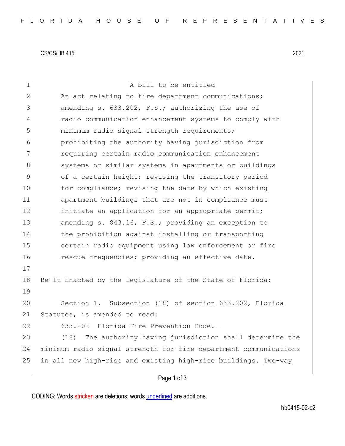CS/CS/HB 415 2021

| $\mathbf 1$   | A bill to be entitled                                            |
|---------------|------------------------------------------------------------------|
| 2             | An act relating to fire department communications;               |
| 3             | amending s. 633.202, F.S.; authorizing the use of                |
| 4             | radio communication enhancement systems to comply with           |
| 5             | minimum radio signal strength requirements;                      |
| 6             | prohibiting the authority having jurisdiction from               |
| 7             | requiring certain radio communication enhancement                |
| 8             | systems or similar systems in apartments or buildings            |
| $\mathcal{G}$ | of a certain height; revising the transitory period              |
| 10            | for compliance; revising the date by which existing              |
| 11            | apartment buildings that are not in compliance must              |
| 12            | initiate an application for an appropriate permit;               |
| 13            | amending s. 843.16, F.S.; providing an exception to              |
| 14            | the prohibition against installing or transporting               |
| 15            | certain radio equipment using law enforcement or fire            |
| 16            | rescue frequencies; providing an effective date.                 |
| 17            |                                                                  |
| 18            | Be It Enacted by the Legislature of the State of Florida:        |
| 19            |                                                                  |
| 20            | Section 1. Subsection (18) of section 633.202, Florida           |
| 21            | Statutes, is amended to read:                                    |
| 22            | 633.202 Florida Fire Prevention Code.-                           |
| 23            | (18)<br>The authority having jurisdiction shall determine the    |
| 24            | minimum radio signal strength for fire department communications |
| 25            | in all new high-rise and existing high-rise buildings. Two-way   |
|               | Page 1 of 3                                                      |

CODING: Words stricken are deletions; words underlined are additions.

hb0415-02-c2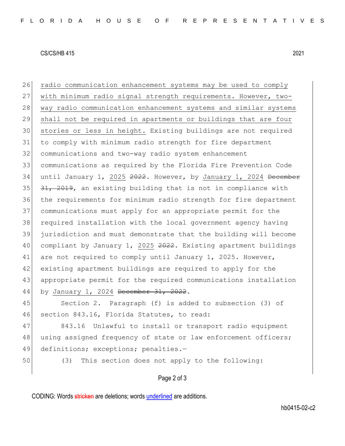## CS/CS/HB 415 2021

26 radio communication enhancement systems may be used to comply with minimum radio signal strength requirements. However, two-28 way radio communication enhancement systems and similar systems shall not be required in apartments or buildings that are four stories or less in height. Existing buildings are not required to comply with minimum radio strength for fire department communications and two-way radio system enhancement communications as required by the Florida Fire Prevention Code 34 until January 1, 2025 2022. However, by January 1, 2024 December  $31, 2019$ , an existing building that is not in compliance with the requirements for minimum radio strength for fire department communications must apply for an appropriate permit for the required installation with the local government agency having jurisdiction and must demonstrate that the building will become 40 compliant by January 1, 2025 2022. Existing apartment buildings 41 are not required to comply until January 1, 2025. However, existing apartment buildings are required to apply for the appropriate permit for the required communications installation 44 by January 1, 2024 December 31, 2022. Section 2. Paragraph (f) is added to subsection (3) of

46 section 843.16, Florida Statutes, to read:

47 843.16 Unlawful to install or transport radio equipment 48 using assigned frequency of state or law enforcement officers; 49 definitions; exceptions; penalties.-

50 (3) This section does not apply to the following:

## Page 2 of 3

CODING: Words stricken are deletions; words underlined are additions.